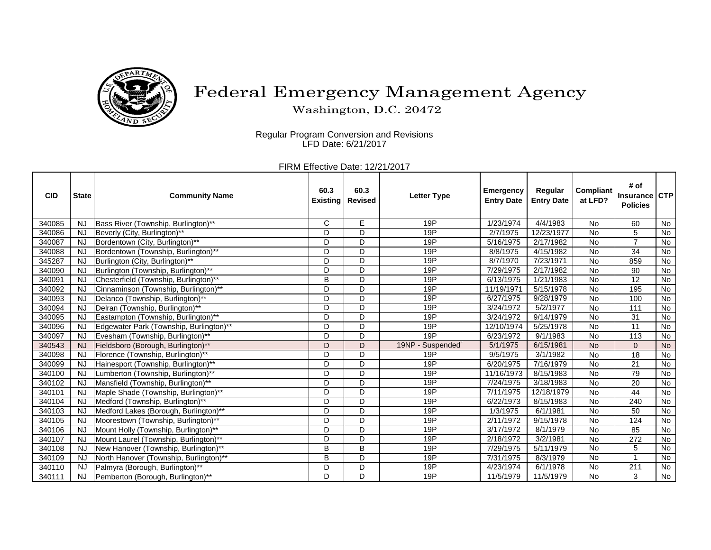

## Federal Emergency Management Agency

Washington, D.C. 20472

Regular Program Conversion and Revisions LFD Date: 6/21/2017

FIRM Effective Date: 12/21/2017

| <b>CID</b> | <b>State</b> | <b>Community Name</b>                   | 60.3<br><b>Existing</b> | 60.3<br><b>Revised</b> | <b>Letter Type</b>               | <b>Emergency</b><br><b>Entry Date</b> | Regular<br><b>Entry Date</b> | Compliant<br>at LFD? | # of<br><b>Insurance</b><br><b>Policies</b> | <b>ICTP</b>    |
|------------|--------------|-----------------------------------------|-------------------------|------------------------|----------------------------------|---------------------------------------|------------------------------|----------------------|---------------------------------------------|----------------|
| 340085     | <b>NJ</b>    | Bass River (Township, Burlington)**     | $\mathsf{C}$            | E                      | 19P                              | 1/23/1974                             | 4/4/1983                     | <b>No</b>            | 60                                          | No             |
| 340086     | <b>NJ</b>    | Beverly (City, Burlington)**            | D                       | D                      | 19P                              | 2/7/1975                              | 12/23/1977                   | <b>No</b>            | 5                                           | No             |
| 340087     | <b>NJ</b>    | Bordentown (City, Burlington)**         | D                       | D                      | 19P                              | 5/16/1975                             | 2/17/1982                    | No                   | $\overline{7}$                              | No             |
| 340088     | <b>NJ</b>    | Bordentown (Township, Burlington)**     | D                       | D                      | 19P                              | 8/8/1975                              | 4/15/1982                    | <b>No</b>            | 34                                          | No             |
| 345287     | <b>NJ</b>    | Burlington (City, Burlington)**         | D                       | D                      | 19P                              | 8/7/1970                              | 7/23/1971                    | <b>No</b>            | 859                                         | No             |
| 340090     | <b>NJ</b>    | Burlington (Township, Burlington)**     | D                       | D                      | 19P                              | 7/29/1975                             | 2/17/1982                    | No                   | 90                                          | No             |
| 340091     | NJ           | Chesterfield (Township, Burlington)**   | B                       | D                      | 19P                              | 6/13/1975                             | 1/21/1983                    | No                   | 12                                          | No             |
| 340092     | <b>NJ</b>    | Cinnaminson (Township, Burlington)**    | D                       | D                      | 19P                              | 11/19/1971                            | 5/15/1978                    | <b>No</b>            | 195                                         | No             |
| 340093     | NJ           | Delanco (Township, Burlington)**        | D                       | D                      | 19P                              | 6/27/1975                             | 9/28/1979                    | <b>No</b>            | 100                                         | No             |
| 340094     | <b>NJ</b>    | Delran (Township, Burlington)**         | D                       | D                      | 19P                              | 3/24/1972                             | 5/2/1977                     | No                   | 111                                         | No             |
| 340095     | <b>NJ</b>    | Eastampton (Township, Burlington)**     | D                       | D                      | 19P                              | 3/24/1972                             | 9/14/1979                    | <b>No</b>            | 31                                          | No             |
| 340096     | <b>NJ</b>    | Edgewater Park (Township, Burlington)** | D                       | D                      | 19P                              | 12/10/1974                            | 5/25/1978                    | <b>No</b>            | $\overline{11}$                             | No             |
| 340097     | <b>NJ</b>    | Evesham (Township, Burlington)**        | D                       | D                      | 19P                              | 6/23/1972                             | 9/1/1983                     | <b>No</b>            | 113                                         | No             |
| 340543     | <b>NJ</b>    | Fieldsboro (Borough, Burlington)**      | D                       | D                      | 19NP -<br>Suspended <sup>+</sup> | 5/1/1975                              | 6/15/1981                    | <b>No</b>            | $\mathbf{0}$                                | No             |
| 340098     | <b>NJ</b>    | Florence (Township, Burlington)**       | D                       | D                      | 19P                              | 9/5/1975                              | 3/1/1982                     | No                   | 18                                          | No             |
| 340099     | <b>NJ</b>    | Hainesport (Township, Burlington)**     | D                       | D                      | 19P                              | 6/20/1975                             | 7/16/1979                    | <b>No</b>            | 21                                          | No             |
| 340100     | <b>NJ</b>    | Lumberton (Township, Burlington)**      | D                       | D                      | 19P                              | 11/16/1973                            | 8/15/1983                    | <b>No</b>            | 79                                          | No             |
| 340102     | <b>NJ</b>    | Mansfield (Township, Burlington)**      | D                       | D                      | 19P                              | 7/24/1975                             | 3/18/1983                    | <b>No</b>            | 20                                          | No             |
| 340101     | N.           | Maple Shade (Township, Burlington)**    | D                       | D                      | 19P                              | 7/11/1975                             | 12/18/1979                   | <b>No</b>            | 44                                          | <b>No</b>      |
| 340104     | <b>NJ</b>    | Medford (Township, Burlington)**        | D                       | D                      | 19P                              | 6/22/1973                             | 8/15/1983                    | <b>No</b>            | 240                                         | No             |
| 340103     | <b>NJ</b>    | Medford Lakes (Borough, Burlington)**   | D                       | D                      | 19P                              | 1/3/1975                              | 6/1/1981                     | <b>No</b>            | 50                                          | No             |
| 340105     | <b>NJ</b>    | Moorestown (Township, Burlington)**     | D                       | D                      | 19P                              | 2/11/1972                             | 9/15/1978                    | No                   | 124                                         | No             |
| 340106     | <b>NJ</b>    | Mount Holly (Township, Burlington)**    | D                       | D                      | 19P                              | 3/17/1972                             | 8/1/1979                     | No                   | 85                                          | No             |
| 340107     | <b>NJ</b>    | Mount Laurel (Township, Burlington)**   | D                       | D                      | 19P                              | 2/18/1972                             | 3/2/1981                     | No                   | 272                                         | No             |
| 340108     | NJ           | New Hanover (Township, Burlington)**    | B                       | B                      | 19P                              | 7/29/1975                             | 5/11/1979                    | <b>No</b>            | 5                                           | $\overline{N}$ |
| 340109     | NJ           | North Hanover (Township, Burlington)**  | В                       | D                      | 19P                              | 7/31/1975                             | 8/3/1979                     | No                   | $\overline{ }$                              | No             |
| 340110     | <b>NJ</b>    | Palmyra (Borough, Burlington)**         | D                       | D                      | 19P                              | 4/23/1974                             | 6/1/1978                     | No                   | 211                                         | No             |
| 340111     | <b>NJ</b>    | Pemberton (Borough, Burlington)**       | D                       | D                      | 19P                              | 11/5/1979                             | 11/5/1979                    | No                   | 3                                           | No             |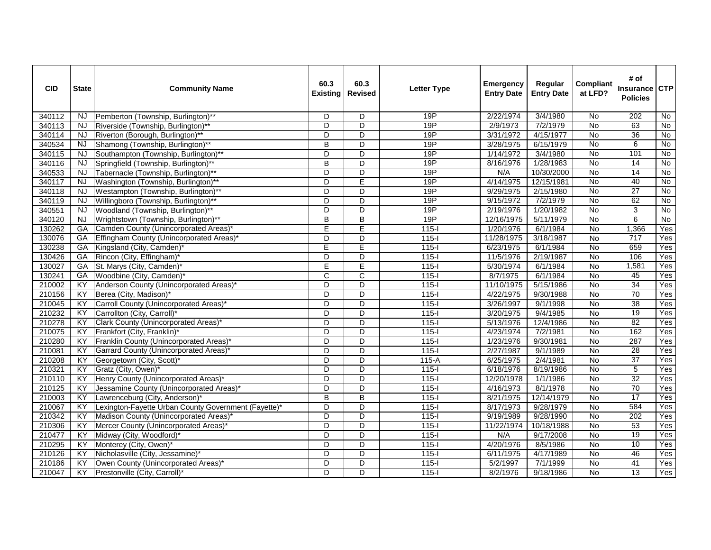| <b>CID</b> | <b>State</b>    | <b>Community Name</b>                                | 60.3<br><b>Existing</b> | 60.3<br><b>Revised</b> | <b>Letter Type</b> | <b>Emergency</b><br><b>Entry Date</b> | Regular<br><b>Entry Date</b> | <b>Compliant</b><br>at LFD? | # of<br>Insurance CTP<br><b>Policies</b> |                |
|------------|-----------------|------------------------------------------------------|-------------------------|------------------------|--------------------|---------------------------------------|------------------------------|-----------------------------|------------------------------------------|----------------|
| 340112     | <b>NJ</b>       | Pemberton (Township, Burlington)**                   | D                       | D                      | 19P                | 2/22/1974                             | 3/4/1980                     | No                          | 202                                      | $\overline{N}$ |
| 340113     | <b>NJ</b>       | Riverside (Township, Burlington)**                   | D                       | $\overline{D}$         | 19P                | 2/9/1973                              | 7/2/1979                     | No                          | 63                                       | No             |
| 340114     | NJ.             | Riverton (Borough, Burlington)**                     | $\overline{D}$          | $\overline{D}$         | 19P                | 3/31/1972                             | 4/15/1977                    | $\overline{N}$              | 36                                       | No             |
| 340534     | NJ              | Shamong (Township, Burlington)**                     | B                       | D                      | 19P                | 3/28/1975                             | 6/15/1979                    | No                          | 6                                        | No             |
| 340115     | <b>NJ</b>       | Southampton (Township, Burlington)**                 | D                       | D                      | 19P                | 1/14/1972                             | 3/4/1980                     | No                          | 101                                      | $\overline{N}$ |
| 340116     | <b>NJ</b>       | Springfield (Township, Burlington)**                 | B                       | D                      | 19P                | 8/16/1976                             | 1/28/1983                    | No                          | 14                                       | No             |
| 340533     | NJ              | Tabernacle (Township, Burlington)**                  | D                       | $\overline{D}$         | 19P                | N/A                                   | 10/30/2000                   | $\overline{N}$              | 14                                       | No             |
| 340117     | NJ.             | Washington (Township, Burlington)**                  | D                       | E                      | 19P                | 4/14/1975                             | 12/15/1981                   | No                          | 40                                       | No             |
| 340118     | <b>NJ</b>       | Westampton (Township, Burlington)**                  | $\overline{D}$          | $\overline{D}$         | 19P                | 9/29/1975                             | 2/15/1980                    | $\overline{N}$              | 27                                       | $\overline{N}$ |
| 340119     | <b>NJ</b>       | Willingboro (Township, Burlington)**                 | $\overline{D}$          | $\overline{D}$         | 19P                | 9/15/1972                             | 7/2/1979                     | $\overline{N}$              | 62                                       | No             |
| 340551     | <b>NJ</b>       | Woodland (Township, Burlington)**                    | D                       | D                      | 19P                | 2/19/1976                             | 1/20/1982                    | No                          | 3                                        | No             |
| 340120     | <b>NJ</b>       | Wrightstown (Township, Burlington)**                 | $\overline{B}$          | $\overline{B}$         | 19P                | 12/16/1975                            | 5/11/1979                    | $\overline{N}$              | $\overline{6}$                           | $\overline{N}$ |
| 130262     | <b>GA</b>       | Camden County (Unincorporated Areas)*                | E                       | Ē                      | $115 -$            | 1/20/1976                             | 6/1/1984                     | No                          | 1,366                                    | Yes            |
| 130076     | GA              | Effingham County (Unincorporated Areas)*             | $\overline{D}$          | $\overline{D}$         | $115 -$            | 11/28/1975                            | 3/18/1987                    | $\overline{N}$              | 717                                      | Yes            |
| 130238     | GA              | Kingsland (City, Camden)*                            | E                       | Ε                      | $115 -$            | 6/23/1975                             | 6/1/1984                     | <b>No</b>                   | 659                                      | Yes            |
| 130426     | GA              | Rincon (City, Effingham)*                            | D                       | D                      | $115 -$            | 11/5/1976                             | 2/19/1987                    | N <sub>o</sub>              | 106                                      | Yes            |
| 130027     | GA              | St. Marys (City, Camden)*                            | Ē                       | E                      | $115 -$            | 5/30/1974                             | 6/1/1984                     | <b>No</b>                   | 1,581                                    | Yes            |
| 130241     | GA              | Woodbine (City, Camden)*                             | $\overline{c}$          | С                      | $115 -$            | 8/7/1975                              | 6/1/1984                     | No                          | 45                                       | Yes            |
| 210002     | KY              | Anderson County (Unincorporated Areas)*              | D                       | D                      | $115 -$            | 11/10/1975                            | 5/15/1986                    | <b>No</b>                   | 34                                       | Yes            |
| 210156     | KY              | Berea (City, Madison)*                               | $\overline{D}$          | $\overline{D}$         | $115 -$            | 4/22/1975                             | 9/30/1988                    | No                          | 70                                       | Yes            |
| 210045     | KY              | Carroll County (Unincorporated Areas)*               | $\overline{D}$          | D                      | $115 -$            | 3/26/1997                             | 9/1/1998                     | <b>No</b>                   | $\overline{38}$                          | Yes            |
| 210232     | KY              | Carrollton (City, Carroll)*                          | $\overline{D}$          | $\overline{D}$         | $115 -$            | 3/20/1975                             | 9/4/1985                     | <b>No</b>                   | 19                                       | Yes            |
| 210278     | $\overline{XY}$ | Clark County (Unincorporated Areas)*                 | D                       | D                      | $115 -$            | 5/13/1976                             | 12/4/1986                    | <b>No</b>                   | $\overline{82}$                          | Yes            |
| 210075     | KY              | Frankfort (City, Franklin)*                          | D                       | D                      | $115-I$            | 4/23/1974                             | 7/2/1981                     | No                          | 162                                      | Yes            |
| 210280     | $\overline{KY}$ | Franklin County (Unincorporated Areas) <sup>®</sup>  | $\overline{D}$          | $\overline{D}$         | $115-I$            | 1/23/1976                             | 9/30/1981                    | <b>No</b>                   | 287                                      | Yes            |
| 210081     | $\overline{KY}$ | <b>Garrard County (Unincorporated Areas)</b>         | $\overline{D}$          | $\overline{D}$         | $115 -$            | 2/27/1987                             | 9/1/1989                     | <b>No</b>                   | 28                                       | Yes            |
| 210208     | KY              | Georgetown (City, Scott)*                            | $\overline{D}$          | $\overline{D}$         | $115-A$            | 6/25/1975                             | 2/4/1981                     | $\overline{N}$              | 37                                       | Yes            |
| 210321     | KY              | Gratz (City, Owen)*                                  | D                       | D                      | $115-I$            | 6/18/1976                             | 8/19/1986                    | No                          | 5                                        | Yes            |
| 210110     | KY              | Henry County (Unincorporated Areas)                  | $\overline{D}$          | $\overline{D}$         | $115 -$            | 12/20/1978                            | 1/1/1986                     | <b>No</b>                   | 32                                       | Yes            |
| 210125     | $\overline{KY}$ | Jessamine County (Unincorporated Areas)*             | $\overline{D}$          | $\overline{D}$         | $115 -$            | 4/16/1973                             | 8/1/1978                     | <b>No</b>                   | 70                                       | Yes            |
| 210003     | KY              | Lawrenceburg (City, Anderson)*                       | B                       | B                      | $115 -$            | 8/21/1975                             | 12/14/1979                   | No                          | $\overline{17}$                          | Yes            |
| 210067     | KY              | Lexington-Fayette Urban County Government (Fayette)* | D                       | D                      | $115-I$            | 8/17/1973                             | 9/28/1979                    | No                          | 584                                      | Yes            |
| 210342     | $\overline{KY}$ | Madison County (Unincorporated Areas)*               | $\overline{D}$          | D                      | $115 -$            | 9/19/1989                             | 9/28/1990                    | No                          | 202                                      | Yes            |
| 210306     | KY              | Mercer County (Unincorporated Areas)*                | $\overline{D}$          | D                      | $115 -$            | 11/22/1974                            | 10/18/1988                   | No                          | 53                                       | Yes            |
| 210477     | KY              | Midway (City, Woodford)*                             | D                       | D                      | $115-I$            | N/A                                   | 9/17/2008                    | <b>No</b>                   | 19                                       | Yes            |
| 210295     | KY              | Monterey (City, Owen)*                               | $\overline{D}$          | $\overline{D}$         | $115 -$            | 4/20/1976                             | 8/5/1986                     | <b>No</b>                   | 10                                       | Yes            |
| 210126     | KY              | Nicholasville (City, Jessamine)*                     | D                       | D                      | $115 -$            | 6/11/1975                             | 4/17/1989                    | No                          | 46                                       | Yes            |
| 210186     | KY              | Owen County (Unincorporated Areas)*                  | $\overline{D}$          | $\overline{D}$         | $115 -$            | 5/2/1997                              | 7/1/1999                     | No                          | 41                                       | Yes            |
| 210047     | KY              | Prestonville (City, Carroll)*                        | $\overline{D}$          | $\overline{D}$         | $115 -$            | 8/2/1976                              | 9/18/1986                    | $\overline{N}$              | 13                                       | Yes            |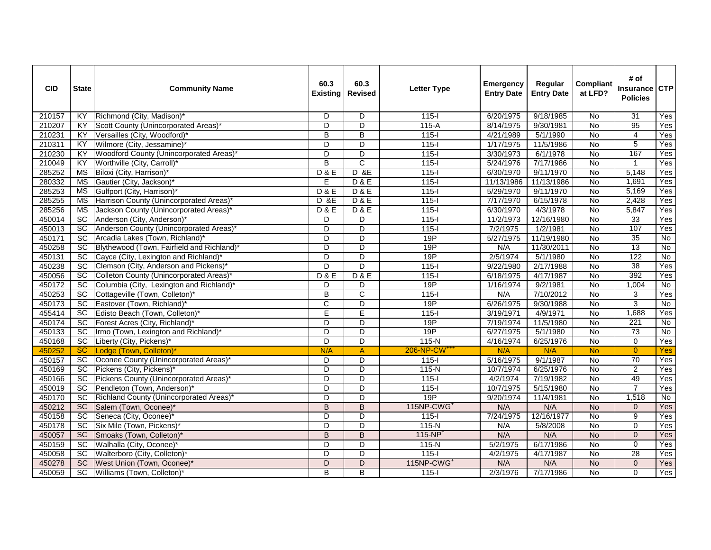| <b>CID</b> | <b>State</b>           | <b>Community Name</b>                       | 60.3<br><b>Existing</b> | 60.3<br><b>Revised</b>  | <b>Letter Type</b>       | <b>Emergency</b><br><b>Entry Date</b> | Regular<br><b>Entry Date</b> | <b>Compliant</b><br>at LFD? | # of<br><b>Insurance</b><br><b>Policies</b> | CTP            |
|------------|------------------------|---------------------------------------------|-------------------------|-------------------------|--------------------------|---------------------------------------|------------------------------|-----------------------------|---------------------------------------------|----------------|
| 210157     | KY                     | Richmond (City, Madison)*                   | D                       | $\overline{D}$          | $115 -$                  | 6/20/1975                             | 9/18/1985                    | No                          | $\overline{31}$                             | Yes            |
| 210207     | KY                     | Scott County (Unincorporated Areas)*        | D                       | $\overline{D}$          | $115-A$                  | 8/14/1975                             | 9/30/1981                    | No                          | 95                                          | Yes            |
| 210231     | <b>KY</b>              | Versailles (City, Woodford)                 | $\overline{B}$          | $\overline{B}$          | $115 -$                  | 4/21/1989                             | 5/1/1990                     | $\overline{N}$              | $\overline{4}$                              | Yes            |
| 210311     | KY                     | Wilmore (City, Jessamine)*                  | D                       | D                       | $115 -$                  | 1/17/1975                             | 11/5/1986                    | No                          | 5                                           | Yes            |
| 210230     | KY                     | Woodford County (Unincorporated Areas)*     | $\overline{D}$          | D                       | $115 -$                  | 3/30/1973                             | 6/1/1978                     | <b>No</b>                   | 167                                         | Yes            |
| 210049     | KY                     | Worthville (City, Carroll)*                 | $\overline{B}$          | $\overline{c}$          | $115 -$                  | 5/24/1976                             | 7/17/1986                    | <b>No</b>                   | $\mathbf{1}$                                | Yes            |
| 285252     | $\overline{\text{MS}}$ | Biloxi (City, Harrison)*                    | D & E                   | D &E                    | $115 -$                  | 6/30/1970                             | 9/11/1970                    | $\overline{N}$              | 5.148                                       | Yes            |
| 280332     | МS                     | Gautier (City, Jackson)*                    | E                       | <b>D&amp;E</b>          | $115 -$                  | 11/13/1986                            | 11/13/1986                   | No                          | 1.691                                       | Yes            |
| 285253     | <b>MS</b>              | Gulfport (City, Harrison)*                  | D & E                   | D & E                   | $115 -$                  | 5/29/1970                             | 9/11/1970                    | <b>No</b>                   | 5,169                                       | Yes            |
| 285255     | <b>MS</b>              | Harrison County (Unincorporated Areas)      | <b>D</b> &E             | D & E                   | $115 -$                  | 7/17/1970                             | 6/15/1978                    | <b>No</b>                   | 2,428                                       | Yes            |
| 285256     | <b>MS</b>              | Jackson County (Unincorporated Areas)       | D & E                   | <b>D&amp;E</b>          | $115 -$                  | 6/30/1970                             | 4/3/1978                     | No                          | 5,847                                       | Yes            |
| 450014     | $\overline{SC}$        | Anderson (City, Anderson)*                  | D                       | D                       | $115 -$                  | 11/2/1973                             | 12/16/1980                   | <b>No</b>                   | 33                                          | Yes            |
| 450013     | <b>SC</b>              | Anderson County (Unincorporated Areas)*     | $\overline{D}$          | $\overline{\mathsf{D}}$ | $115 -$                  | 7/2/1975                              | 1/2/1981                     | No                          | 107                                         | Yes            |
| 450171     | SC                     | Arcadia Lakes (Town, Richland) <sup>®</sup> | $\overline{D}$          | D                       | 19P                      | 5/27/1975                             | 11/19/1980                   | $\overline{N}$              | $\overline{35}$                             | No             |
| 450258     | <b>SC</b>              | Blythewood (Town, Fairfield and Richland)*  | $\overline{D}$          | $\overline{D}$          | 19P                      | N/A                                   | 11/30/2011                   | No                          | 13                                          | No             |
| 450131     | <b>SC</b>              | Cayce (City, Lexington and Richland)'       | D                       | $\overline{D}$          | 19P                      | 2/5/1974                              | 5/1/1980                     | <b>No</b>                   | 122                                         | No             |
| 450238     | SC                     | Clemson (City, Anderson and Pickens)*       | $\overline{D}$          | $\overline{D}$          | $115 -$                  | 9/22/1980                             | 2/17/1988                    | <b>No</b>                   | 38                                          | Yes            |
| 450056     | <b>SC</b>              | Colleton County (Unincorporated Areas)      | D & E                   | D & E                   | $115 -$                  | 6/18/1975                             | 4/17/1987                    | No                          | 392                                         | Yes            |
| 450172     | $\overline{SC}$        | Columbia (City, Lexington and Richland)'    | D                       | D                       | 19P                      | 1/16/1974                             | 9/2/1981                     | <b>No</b>                   | 1,004                                       | <b>No</b>      |
| 450253     | SC                     | Cottageville (Town, Colleton)*              | $\overline{B}$          | C                       | $115 -$                  | N/A                                   | 7/10/2012                    | No                          | 3                                           | Yes            |
| 450173     | $\overline{SC}$        | Eastover (Town, Richland)*                  | $\overline{\mathsf{C}}$ | D                       | 19P                      | 6/26/1975                             | 9/30/1988                    | <b>No</b>                   | $\overline{3}$                              | No             |
| 455414     | SC                     | Edisto Beach (Town, Colleton)*              | Ē                       | Ē                       | $115 -$                  | 3/19/1971                             | 4/9/1971                     | No                          | 1,688                                       | Yes            |
| 450174     | SC                     | Forest Acres (City, Richland)*              | D                       | D                       | 19P                      | 7/19/1974                             | 11/5/1980                    | <b>No</b>                   | $\overline{221}$                            | $\overline{N}$ |
| 450133     | <b>SC</b>              | Irmo (Town, Lexington and Richland)*        | D                       | D                       | 19P                      | 6/27/1975                             | 5/1/1980                     | No                          | 73                                          | No             |
| 450168     | SC                     | Liberty (City, Pickens)*                    | $\overline{D}$          | $\overline{\mathsf{D}}$ | $115-N$                  | 4/16/1974                             | 6/25/1976                    | <b>No</b>                   | $\mathbf 0$                                 | Yes            |
| 450252     | SC                     | Lodge (Town, Colleton)*                     | N/A                     | $\overline{A}$          | 206-NP-CW <sup>+++</sup> | N/A                                   | N/A                          | <b>No</b>                   | $\overline{0}$                              | Yes            |
| 450157     | SC                     | Oconee County (Unincorporated Areas)        | D                       | D                       | $115 -$                  | 5/16/1975                             | 9/1/1987                     | No                          | $\overline{70}$                             | Yes            |
| 450169     | SC                     | Pickens (City, Pickens)*                    | D                       | D                       | 115-N                    | 10/7/1974                             | 6/25/1976                    | No                          | 2                                           | Yes            |
| 450166     | SC                     | Pickens County (Unincorporated Areas)       | $\overline{D}$          | D                       | $115 -$                  | 4/2/1974                              | 7/19/1982                    | <b>No</b>                   | 49                                          | Yes            |
| 450019     | SC                     | Pendleton (Town, Anderson)*                 | $\overline{D}$          | $\overline{\mathsf{D}}$ | $115 -$                  | 10/7/1975                             | 5/15/1980                    | No                          | $\overline{7}$                              | Yes            |
| 450170     | $\overline{SC}$        | Richland County (Unincorporated Areas)*     | D                       | D                       | 19P                      | 9/20/1974                             | 11/4/1981                    | <b>No</b>                   | 1,518                                       | $\overline{N}$ |
| 450212     | <b>SC</b>              | Salem (Town, Oconee)*                       | B                       | B                       | 115NP-CWG <sup>+</sup>   | N/A                                   | N/A                          | <b>No</b>                   | $\Omega$                                    | Yes            |
| 450158     | $\overline{SC}$        | Seneca (City, Oconee)*                      | $\overline{D}$          | $\overline{D}$          | $115 -$                  | 7/24/1975                             | 12/16/1977                   | No                          | $\overline{9}$                              | Yes            |
| 450178     | <b>SC</b>              | Six Mile (Town, Pickens)*                   | D                       | D                       | 115-N                    | N/A                                   | 5/8/2008                     | <b>No</b>                   | $\Omega$                                    | Yes            |
| 450057     | SC                     | Smoaks (Town, Colleton)*                    | B                       | B                       | $115-NP+$                | N/A                                   | N/A                          | <b>No</b>                   | $\mathbf 0$                                 | Yes            |
| 450159     | SC                     | Walhalla (City, Oconee)*                    | $\overline{D}$          | D                       | $115-N$                  | 5/2/1975                              | 6/17/1986                    | N <sub>o</sub>              | $\overline{0}$                              | Yes            |
| 450058     | $\overline{SC}$        | Walterboro (City, Colleton)*                | D                       | D                       | $115 -$                  | 4/2/1975                              | 4/17/1987                    | No                          | 28                                          | Yes            |
| 450278     | <b>SC</b>              | West Union (Town, Oconee)*                  | D                       | D                       | 115NP-CWG <sup>+</sup>   | N/A                                   | N/A                          | No                          | $\mathbf{0}$                                | Yes            |
| 450059     | $\overline{SC}$        | Williams (Town, Colleton)*                  | $\overline{B}$          | $\overline{B}$          | $115 -$                  | 2/3/1976                              | 7/17/1986                    | $\overline{N}$              | $\overline{0}$                              | Yes            |